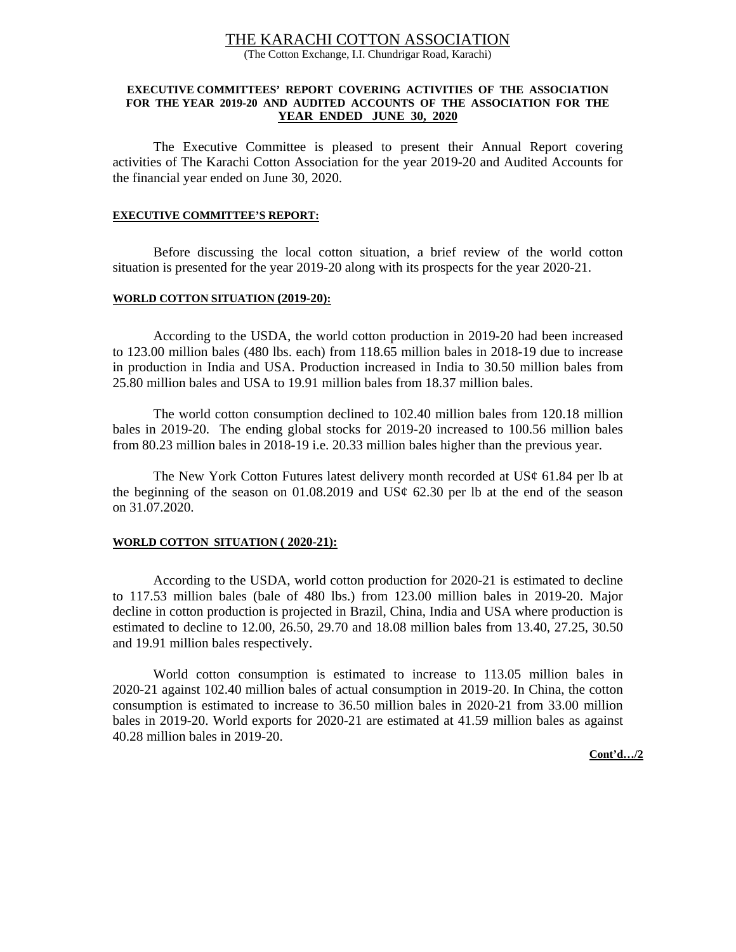# THE KARACHI COTTON ASSOCIATION

(The Cotton Exchange, I.I. Chundrigar Road, Karachi)

#### **EXECUTIVE COMMITTEES' REPORT COVERING ACTIVITIES OF THE ASSOCIATION FOR THE YEAR 2019-20 AND AUDITED ACCOUNTS OF THE ASSOCIATION FOR THE YEAR ENDED JUNE 30, 2020**

 The Executive Committee is pleased to present their Annual Report covering activities of The Karachi Cotton Association for the year 2019-20 and Audited Accounts for the financial year ended on June 30, 2020.

#### **EXECUTIVE COMMITTEE'S REPORT:**

Before discussing the local cotton situation, a brief review of the world cotton situation is presented for the year 2019-20 along with its prospects for the year 2020-21.

#### **WORLD COTTON SITUATION (2019-20):**

 According to the USDA, the world cotton production in 2019-20 had been increased to 123.00 million bales (480 lbs. each) from 118.65 million bales in 2018-19 due to increase in production in India and USA. Production increased in India to 30.50 million bales from 25.80 million bales and USA to 19.91 million bales from 18.37 million bales.

 The world cotton consumption declined to 102.40 million bales from 120.18 million bales in 2019-20. The ending global stocks for 2019-20 increased to 100.56 million bales from 80.23 million bales in 2018-19 i.e. 20.33 million bales higher than the previous year.

The New York Cotton Futures latest delivery month recorded at  $US\varphi$  61.84 per lb at the beginning of the season on 01.08.2019 and US $\phi$  62.30 per lb at the end of the season on 31.07.2020.

#### **WORLD COTTON SITUATION ( 2020-21):**

 According to the USDA, world cotton production for 2020-21 is estimated to decline to 117.53 million bales (bale of 480 lbs.) from 123.00 million bales in 2019-20. Major decline in cotton production is projected in Brazil, China, India and USA where production is estimated to decline to 12.00, 26.50, 29.70 and 18.08 million bales from 13.40, 27.25, 30.50 and 19.91 million bales respectively.

 World cotton consumption is estimated to increase to 113.05 million bales in 2020-21 against 102.40 million bales of actual consumption in 2019-20. In China, the cotton consumption is estimated to increase to 36.50 million bales in 2020-21 from 33.00 million bales in 2019-20. World exports for 2020-21 are estimated at 41.59 million bales as against 40.28 million bales in 2019-20.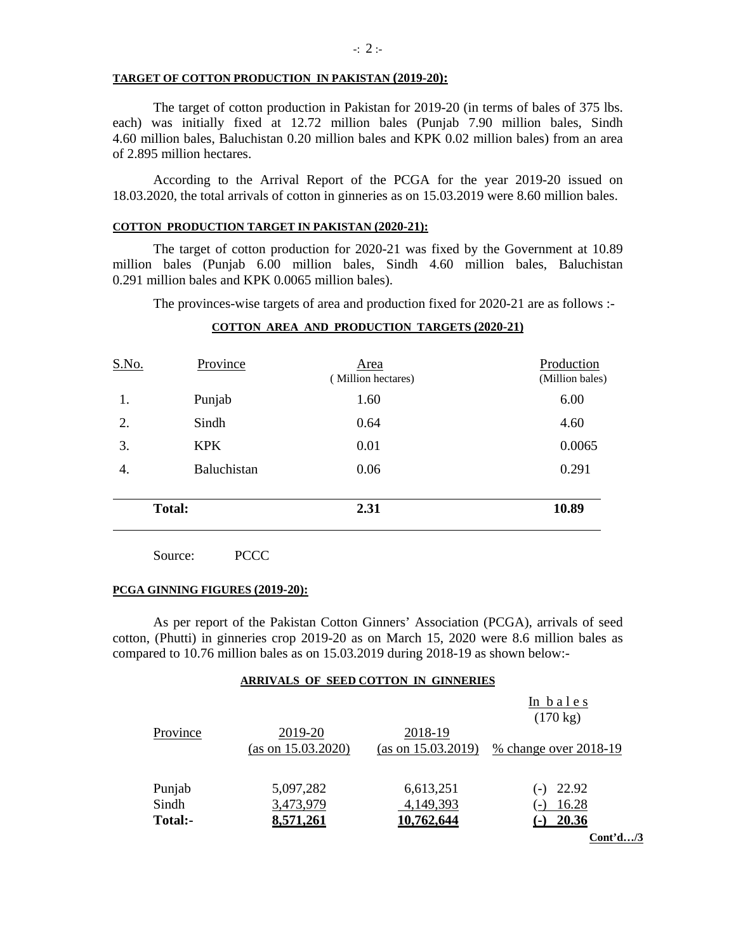#### **TARGET OF COTTON PRODUCTION IN PAKISTAN (2019-20):**

The target of cotton production in Pakistan for 2019-20 (in terms of bales of 375 lbs. each) was initially fixed at 12.72 million bales (Punjab 7.90 million bales, Sindh 4.60 million bales, Baluchistan 0.20 million bales and KPK 0.02 million bales) from an area of 2.895 million hectares.

 According to the Arrival Report of the PCGA for the year 2019-20 issued on 18.03.2020, the total arrivals of cotton in ginneries as on 15.03.2019 were 8.60 million bales.

# **COTTON PRODUCTION TARGET IN PAKISTAN (2020-21):**

The target of cotton production for 2020-21 was fixed by the Government at 10.89 million bales (Punjab 6.00 million bales, Sindh 4.60 million bales, Baluchistan 0.291 million bales and KPK 0.0065 million bales).

The provinces-wise targets of area and production fixed for 2020-21 are as follows :-

# **COTTON AREA AND PRODUCTION TARGETS (2020-21)**

|       | <b>Total:</b> | 2.31                       | 10.89                         |
|-------|---------------|----------------------------|-------------------------------|
| 4.    | Baluchistan   | 0.06                       | 0.291                         |
| 3.    | <b>KPK</b>    | 0.01                       | 0.0065                        |
| 2.    | Sindh         | 0.64                       | 4.60                          |
| 1.    | Punjab        | 1.60                       | 6.00                          |
| S.No. | Province      | Area<br>(Million hectares) | Production<br>(Million bales) |

Source: PCCC

#### **PCGA GINNING FIGURES (2019-20):**

As per report of the Pakistan Cotton Ginners' Association (PCGA), arrivals of seed cotton, (Phutti) in ginneries crop 2019-20 as on March 15, 2020 were 8.6 million bales as compared to 10.76 million bales as on 15.03.2019 during 2018-19 as shown below:-

#### **ARRIVALS OF SEED COTTON IN GINNERIES**

|          |                    |                    | In bales              |
|----------|--------------------|--------------------|-----------------------|
|          |                    |                    | $(170 \text{ kg})$    |
| Province | 2019-20            | 2018-19            |                       |
|          | (as on 15.03.2020) | (as on 15.03.2019) | % change over 2018-19 |
|          |                    |                    |                       |
| Punjab   | 5,097,282          | 6,613,251          | 22.92                 |
| Sindh    | 3,473,979          | 4,149,393          | 16.28                 |
| Total:-  | 8,571,261          | 10,762,644         | 20.36                 |
|          |                    |                    | $Cont^3$ /3           |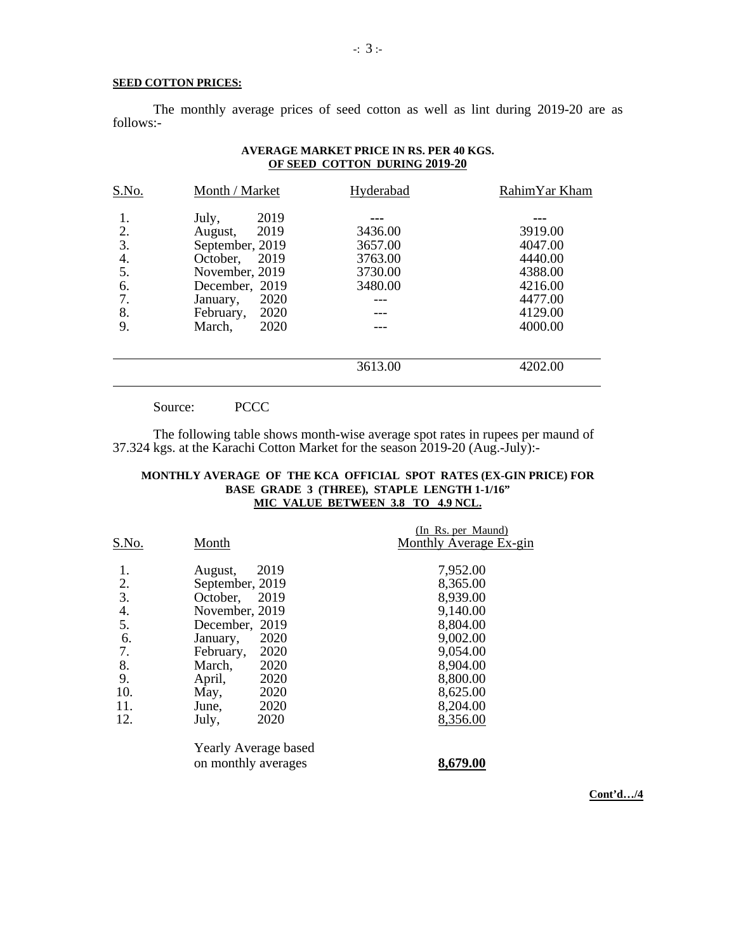#### **SEED COTTON PRICES:**

The monthly average prices of seed cotton as well as lint during 2019-20 are as follows:-

| S.No.                                        | Month / Market                                                                                                                                                      | Hyderabad                                           | RahimYar Kham                                                                        |
|----------------------------------------------|---------------------------------------------------------------------------------------------------------------------------------------------------------------------|-----------------------------------------------------|--------------------------------------------------------------------------------------|
| 2.<br>3.<br>4.<br>5.<br>6.<br>7.<br>8.<br>9. | 2019<br>July,<br>2019<br>August,<br>September, 2019<br>October, 2019<br>November, 2019<br>December, 2019<br>2020<br>January,<br>February,<br>2020<br>2020<br>March, | 3436.00<br>3657.00<br>3763.00<br>3730.00<br>3480.00 | 3919.00<br>4047.00<br>4440.00<br>4388.00<br>4216.00<br>4477.00<br>4129.00<br>4000.00 |
|                                              |                                                                                                                                                                     | 3613.00                                             | 4202.00                                                                              |

# **AVERAGE MARKET PRICE IN RS. PER 40 KGS. OF SEED COTTON DURING 2019-20**

Source: PCCC

The following table shows month-wise average spot rates in rupees per maund of 37.324 kgs. at the Karachi Cotton Market for the season 2019-20 (Aug.-July):-

# **MONTHLY AVERAGE OF THE KCA OFFICIAL SPOT RATES (EX-GIN PRICE) FOR BASE GRADE 3 (THREE), STAPLE LENGTH 1-1/16" MIC VALUE BETWEEN 3.8 TO 4.9 NCL.**

| S.No.             | Month                                                | (In Rs. per Maund)<br>Monthly Average Ex-gin |
|-------------------|------------------------------------------------------|----------------------------------------------|
| 1.<br>2.          | 2019<br>August,<br>September, 2019                   | 7,952.00<br>8,365.00                         |
| 3.<br>4.<br>5.    | October,<br>2019<br>November, 2019<br>December, 2019 | 8,939.00<br>9,140.00<br>8,804.00             |
| 6.<br>7.          | 2020<br>January,<br>2020<br>February,                | 9,002.00<br>9,054.00                         |
| 8.<br>9.          | 2020<br>March,<br>2020<br>April,                     | 8,904.00<br>8,800.00                         |
| 10.<br>11.<br>12. | 2020<br>May,<br>2020<br>June,<br>2020<br>July,       | 8,625.00<br>8,204.00<br>8,356.00             |
|                   | Yearly Average based<br>on monthly averages          | 8,679.00                                     |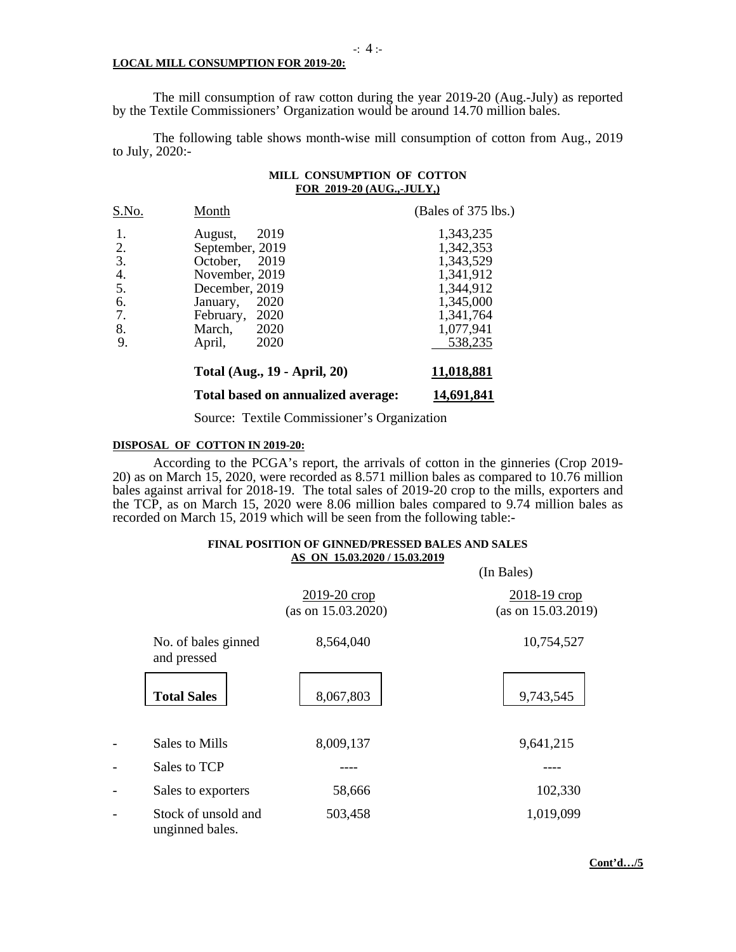#### **LOCAL MILL CONSUMPTION FOR 2019-20:**

The mill consumption of raw cotton during the year 2019-20 (Aug.-July) as reported by the Textile Commissioners' Organization would be around 14.70 million bales.

The following table shows month-wise mill consumption of cotton from Aug., 2019 to July, 2020:-

#### **MILL CONSUMPTION OF COTTON FOR 2019-20 (AUG.,-JULY,)**

| S.No. | Month                               | (Bales of 375 lbs.) |
|-------|-------------------------------------|---------------------|
| 1.    | 2019<br>August,                     | 1,343,235           |
| 2.    | September, 2019                     | 1,342,353           |
| 3.    | October, 2019                       | 1,343,529           |
| 4.    | November, 2019                      | 1,341,912           |
| 5.    | December, 2019                      | 1,344,912           |
| 6.    | 2020<br>January,                    | 1,345,000           |
| 7.    | February, 2020                      | 1,341,764           |
| 8.    | 2020<br>March,                      | 1,077,941           |
| 9.    | 2020<br>April,                      | 538,235             |
|       | <b>Total (Aug., 19 - April, 20)</b> | 11,018,881          |

 **Total based on annualized average: 14,691,841** 

Source: Textile Commissioner's Organization

#### **DISPOSAL OF COTTON IN 2019-20:**

According to the PCGA's report, the arrivals of cotton in the ginneries (Crop 2019- 20) as on March 15, 2020, were recorded as 8.571 million bales as compared to 10.76 million bales against arrival for 2018-19. The total sales of 2019-20 crop to the mills, exporters and the TCP, as on March 15, 2020 were 8.06 million bales compared to 9.74 million bales as recorded on March 15, 2019 which will be seen from the following table:-

#### **FINAL POSITION OF GINNED/PRESSED BALES AND SALES AS ON 15.03.2020 / 15.03.2019**

|                                        |                                    | (In Bales)                         |
|----------------------------------------|------------------------------------|------------------------------------|
|                                        | 2019-20 crop<br>(as on 15.03.2020) | 2018-19 crop<br>(as on 15.03.2019) |
| No. of bales ginned<br>and pressed     | 8,564,040                          | 10,754,527                         |
| <b>Total Sales</b>                     | 8,067,803                          | 9,743,545                          |
| Sales to Mills                         | 8,009,137                          | 9,641,215                          |
| Sales to TCP                           |                                    |                                    |
| Sales to exporters                     | 58,666                             | 102,330                            |
| Stock of unsold and<br>unginned bales. | 503,458                            | 1,019,099                          |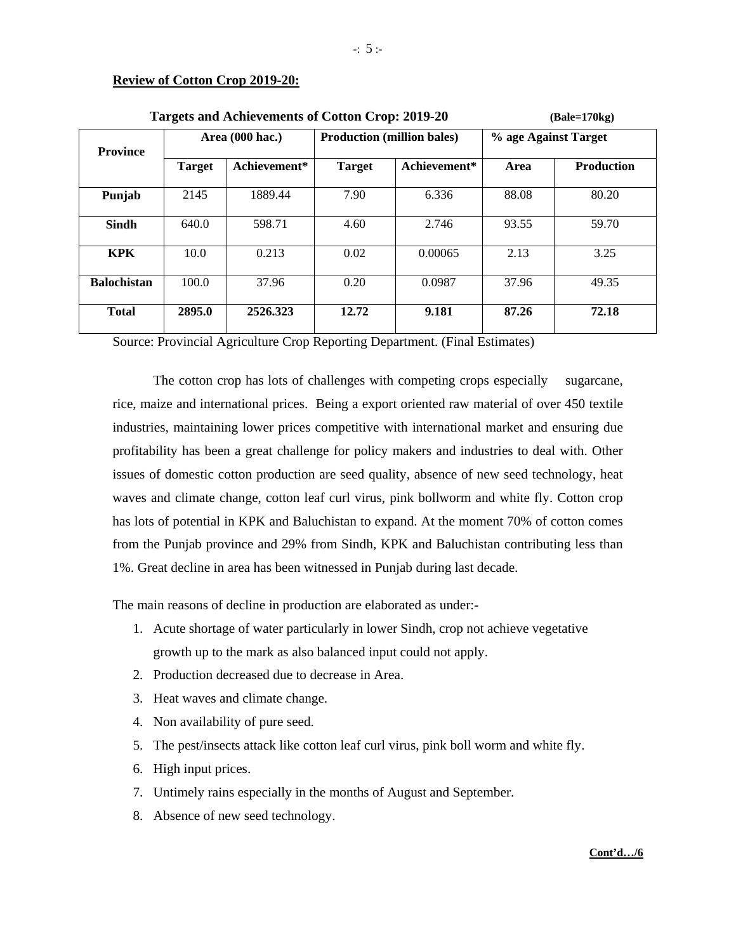# **Review of Cotton Crop 2019-20:**

| <b>Targets and Achievements of Cotton Crop: 2019-20</b> |               |                 |               | $(Bale=170kg)$                    |       |                      |  |
|---------------------------------------------------------|---------------|-----------------|---------------|-----------------------------------|-------|----------------------|--|
| <b>Province</b>                                         |               | Area (000 hac.) |               | <b>Production (million bales)</b> |       | % age Against Target |  |
|                                                         | <b>Target</b> | Achievement*    | <b>Target</b> | Achievement*                      | Area  | <b>Production</b>    |  |
| Punjab                                                  | 2145          | 1889.44         | 7.90          | 6.336                             | 88.08 | 80.20                |  |
| <b>Sindh</b>                                            | 640.0         | 598.71          | 4.60          | 2.746                             | 93.55 | 59.70                |  |
| <b>KPK</b>                                              | 10.0          | 0.213           | 0.02          | 0.00065                           | 2.13  | 3.25                 |  |
| <b>Balochistan</b>                                      | 100.0         | 37.96           | 0.20          | 0.0987                            | 37.96 | 49.35                |  |
| <b>Total</b>                                            | 2895.0        | 2526.323        | 12.72         | 9.181                             | 87.26 | 72.18                |  |

Source: Provincial Agriculture Crop Reporting Department. (Final Estimates)

 The cotton crop has lots of challenges with competing crops especially sugarcane, rice, maize and international prices. Being a export oriented raw material of over 450 textile industries, maintaining lower prices competitive with international market and ensuring due profitability has been a great challenge for policy makers and industries to deal with. Other issues of domestic cotton production are seed quality, absence of new seed technology, heat waves and climate change, cotton leaf curl virus, pink bollworm and white fly. Cotton crop has lots of potential in KPK and Baluchistan to expand. At the moment 70% of cotton comes from the Punjab province and 29% from Sindh, KPK and Baluchistan contributing less than 1%. Great decline in area has been witnessed in Punjab during last decade.

The main reasons of decline in production are elaborated as under:-

- 1. Acute shortage of water particularly in lower Sindh, crop not achieve vegetative growth up to the mark as also balanced input could not apply.
- 2. Production decreased due to decrease in Area.
- 3. Heat waves and climate change.
- 4. Non availability of pure seed.
- 5. The pest/insects attack like cotton leaf curl virus, pink boll worm and white fly.
- 6. High input prices.
- 7. Untimely rains especially in the months of August and September.
- 8. Absence of new seed technology.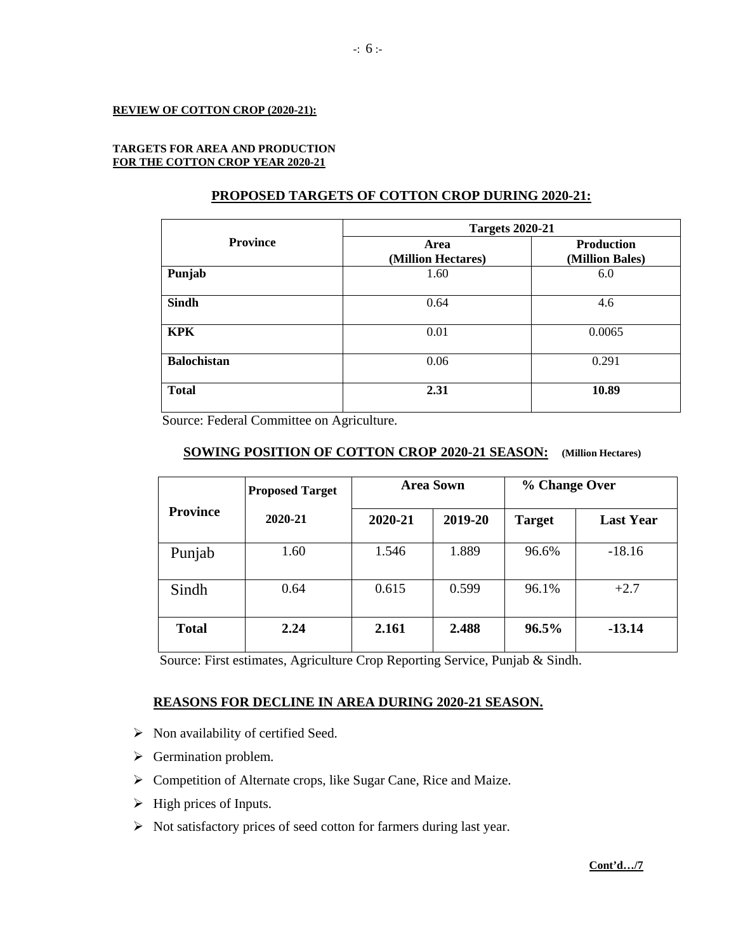#### **REVIEW OF COTTON CROP (2020-21):**

#### **TARGETS FOR AREA AND PRODUCTION FOR THE COTTON CROP YEAR 2020-21**

# **PROPOSED TARGETS OF COTTON CROP DURING 2020-21:**

| <b>Targets 2020-21</b> |                                      |  |  |
|------------------------|--------------------------------------|--|--|
| Area                   | <b>Production</b><br>(Million Bales) |  |  |
| 1.60                   | 6.0                                  |  |  |
| 0.64                   | 4.6                                  |  |  |
| 0.01                   | 0.0065                               |  |  |
| 0.06                   | 0.291                                |  |  |
| 2.31                   | 10.89                                |  |  |
|                        | (Million Hectares)                   |  |  |

Source: Federal Committee on Agriculture.

# **SOWING POSITION OF COTTON CROP 2020-21 SEASON: (Million Hectares)**

|                 | <b>Proposed Target</b> | <b>Area Sown</b> |         | % Change Over |                  |
|-----------------|------------------------|------------------|---------|---------------|------------------|
| <b>Province</b> | 2020-21                | 2020-21          | 2019-20 | <b>Target</b> | <b>Last Year</b> |
| Punjab          | 1.60                   | 1.546            | 1.889   | 96.6%         | $-18.16$         |
| Sindh           | 0.64                   | 0.615            | 0.599   | 96.1%         | $+2.7$           |
| <b>Total</b>    | 2.24                   | 2.161            | 2.488   | $96.5\%$      | $-13.14$         |

Source: First estimates, Agriculture Crop Reporting Service, Punjab & Sindh.

# **REASONS FOR DECLINE IN AREA DURING 2020-21 SEASON.**

- $\triangleright$  Non availability of certified Seed.
- $\triangleright$  Germination problem.
- Competition of Alternate crops, like Sugar Cane, Rice and Maize.
- $\triangleright$  High prices of Inputs.
- $\triangleright$  Not satisfactory prices of seed cotton for farmers during last year.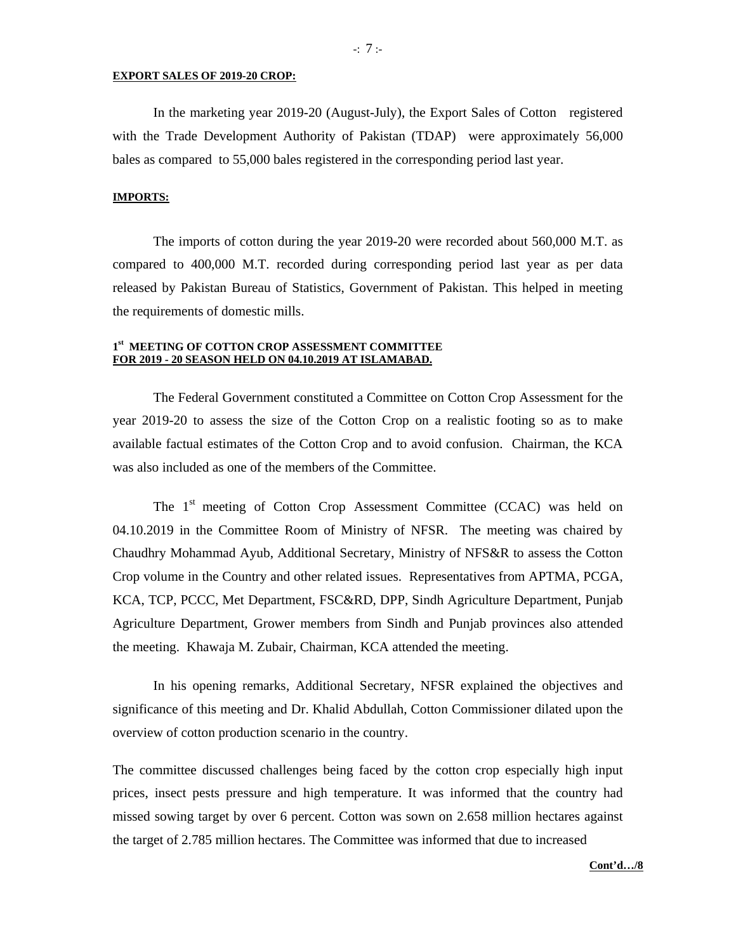#### **EXPORT SALES OF 2019-20 CROP:**

In the marketing year 2019-20 (August-July), the Export Sales of Cotton registered with the Trade Development Authority of Pakistan (TDAP) were approximately 56,000 bales as compared to 55,000 bales registered in the corresponding period last year.

#### **IMPORTS:**

The imports of cotton during the year 2019-20 were recorded about 560,000 M.T. as compared to 400,000 M.T. recorded during corresponding period last year as per data released by Pakistan Bureau of Statistics, Government of Pakistan. This helped in meeting the requirements of domestic mills.

#### **1st MEETING OF COTTON CROP ASSESSMENT COMMITTEE FOR 2019 - 20 SEASON HELD ON 04.10.2019 AT ISLAMABAD.**

 The Federal Government constituted a Committee on Cotton Crop Assessment for the year 2019-20 to assess the size of the Cotton Crop on a realistic footing so as to make available factual estimates of the Cotton Crop and to avoid confusion. Chairman, the KCA was also included as one of the members of the Committee.

The 1<sup>st</sup> meeting of Cotton Crop Assessment Committee (CCAC) was held on 04.10.2019 in the Committee Room of Ministry of NFSR. The meeting was chaired by Chaudhry Mohammad Ayub, Additional Secretary, Ministry of NFS&R to assess the Cotton Crop volume in the Country and other related issues. Representatives from APTMA, PCGA, KCA, TCP, PCCC, Met Department, FSC&RD, DPP, Sindh Agriculture Department, Punjab Agriculture Department, Grower members from Sindh and Punjab provinces also attended the meeting. Khawaja M. Zubair, Chairman, KCA attended the meeting.

In his opening remarks, Additional Secretary, NFSR explained the objectives and significance of this meeting and Dr. Khalid Abdullah, Cotton Commissioner dilated upon the overview of cotton production scenario in the country.

The committee discussed challenges being faced by the cotton crop especially high input prices, insect pests pressure and high temperature. It was informed that the country had missed sowing target by over 6 percent. Cotton was sown on 2.658 million hectares against the target of 2.785 million hectares. The Committee was informed that due to increased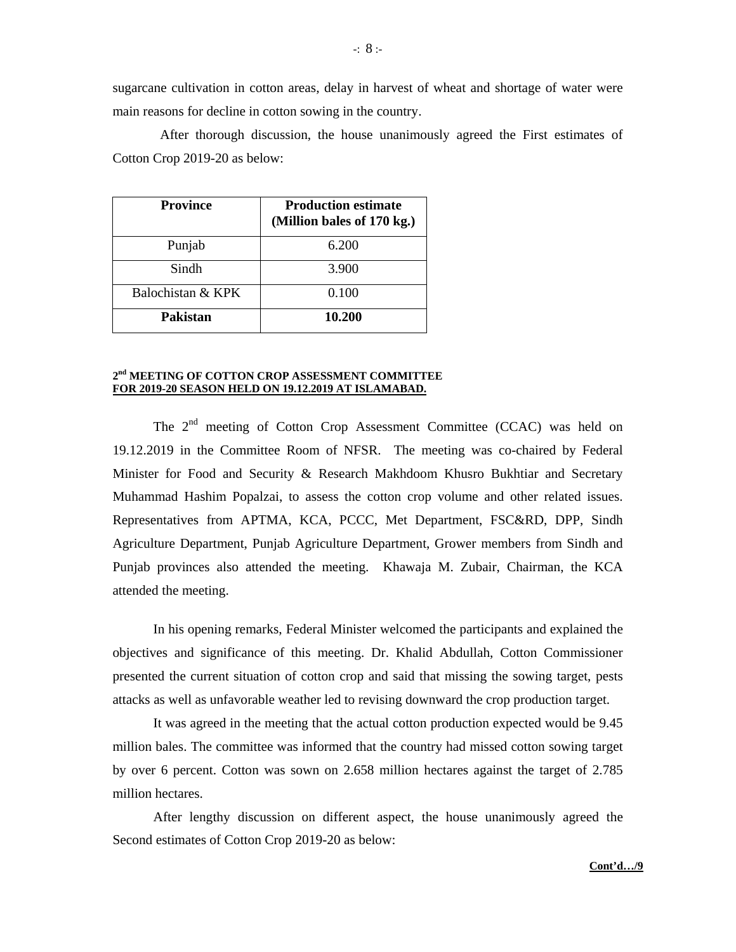sugarcane cultivation in cotton areas, delay in harvest of wheat and shortage of water were main reasons for decline in cotton sowing in the country.

 After thorough discussion, the house unanimously agreed the First estimates of Cotton Crop 2019-20 as below:

| <b>Province</b>   | <b>Production estimate</b><br>(Million bales of 170 kg.) |
|-------------------|----------------------------------------------------------|
| Punjab            | 6.200                                                    |
| Sindh             | 3.900                                                    |
| Balochistan & KPK | 0.100                                                    |
| <b>Pakistan</b>   | 10.200                                                   |

#### **2nd MEETING OF COTTON CROP ASSESSMENT COMMITTEE FOR 2019-20 SEASON HELD ON 19.12.2019 AT ISLAMABAD.**

The 2<sup>nd</sup> meeting of Cotton Crop Assessment Committee (CCAC) was held on 19.12.2019 in the Committee Room of NFSR. The meeting was co-chaired by Federal Minister for Food and Security & Research Makhdoom Khusro Bukhtiar and Secretary Muhammad Hashim Popalzai, to assess the cotton crop volume and other related issues. Representatives from APTMA, KCA, PCCC, Met Department, FSC&RD, DPP, Sindh Agriculture Department, Punjab Agriculture Department, Grower members from Sindh and Punjab provinces also attended the meeting. Khawaja M. Zubair, Chairman, the KCA attended the meeting.

In his opening remarks, Federal Minister welcomed the participants and explained the objectives and significance of this meeting. Dr. Khalid Abdullah, Cotton Commissioner presented the current situation of cotton crop and said that missing the sowing target, pests attacks as well as unfavorable weather led to revising downward the crop production target.

It was agreed in the meeting that the actual cotton production expected would be 9.45 million bales. The committee was informed that the country had missed cotton sowing target by over 6 percent. Cotton was sown on 2.658 million hectares against the target of 2.785 million hectares.

After lengthy discussion on different aspect, the house unanimously agreed the Second estimates of Cotton Crop 2019-20 as below: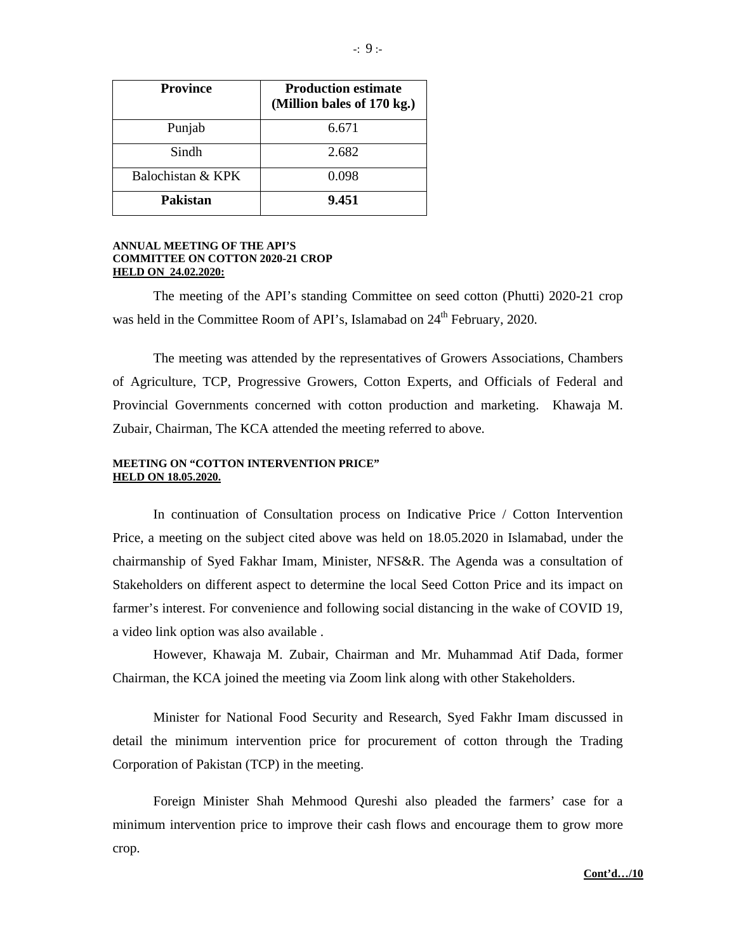| <b>Province</b>   | <b>Production estimate</b><br>(Million bales of 170 kg.) |
|-------------------|----------------------------------------------------------|
| Punjab            | 6.671                                                    |
| Sindh             | 2.682                                                    |
| Balochistan & KPK | 0.098                                                    |
| <b>Pakistan</b>   | 9.451                                                    |

#### **ANNUAL MEETING OF THE API'S COMMITTEE ON COTTON 2020-21 CROP HELD ON 24.02.2020:**

The meeting of the API's standing Committee on seed cotton (Phutti) 2020-21 crop was held in the Committee Room of API's, Islamabad on 24<sup>th</sup> February, 2020.

 The meeting was attended by the representatives of Growers Associations, Chambers of Agriculture, TCP, Progressive Growers, Cotton Experts, and Officials of Federal and Provincial Governments concerned with cotton production and marketing. Khawaja M. Zubair, Chairman, The KCA attended the meeting referred to above.

### **MEETING ON "COTTON INTERVENTION PRICE" HELD ON 18.05.2020.**

 In continuation of Consultation process on Indicative Price / Cotton Intervention Price, a meeting on the subject cited above was held on 18.05.2020 in Islamabad, under the chairmanship of Syed Fakhar Imam, Minister, NFS&R. The Agenda was a consultation of Stakeholders on different aspect to determine the local Seed Cotton Price and its impact on farmer's interest. For convenience and following social distancing in the wake of COVID 19, a video link option was also available .

However, Khawaja M. Zubair, Chairman and Mr. Muhammad Atif Dada, former Chairman, the KCA joined the meeting via Zoom link along with other Stakeholders.

 Minister for National Food Security and Research, Syed Fakhr Imam discussed in detail the minimum intervention price for procurement of cotton through the Trading Corporation of Pakistan (TCP) in the meeting.

Foreign Minister Shah Mehmood Qureshi also pleaded the farmers' case for a minimum intervention price to improve their cash flows and encourage them to grow more crop.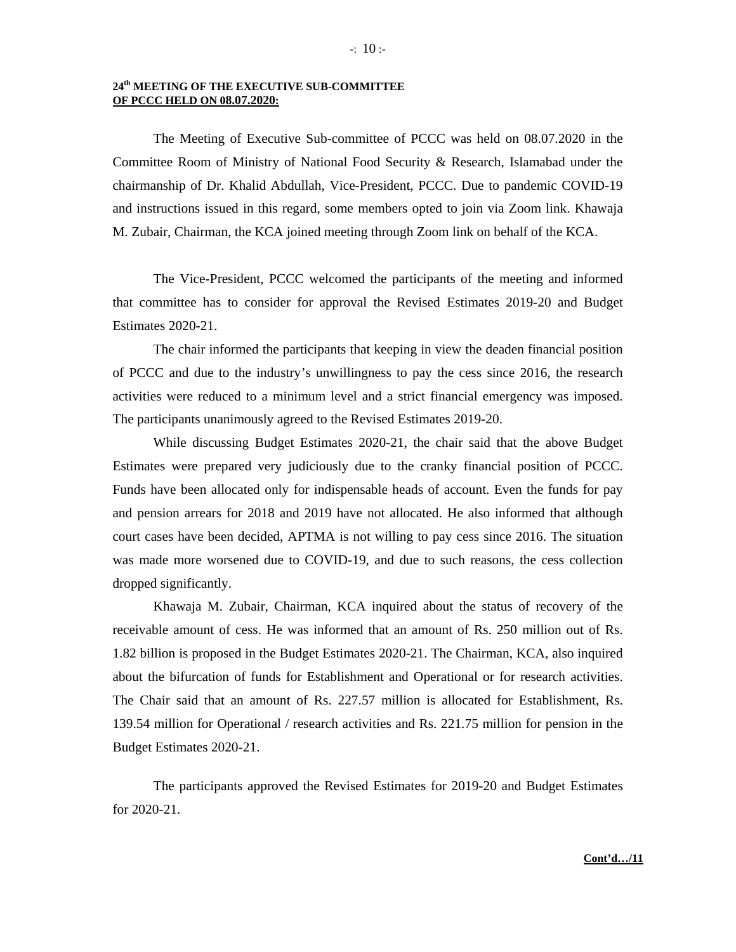# **24th MEETING OF THE EXECUTIVE SUB-COMMITTEE OF PCCC HELD ON 08.07.2020:**

The Meeting of Executive Sub-committee of PCCC was held on 08.07.2020 in the Committee Room of Ministry of National Food Security & Research, Islamabad under the chairmanship of Dr. Khalid Abdullah, Vice-President, PCCC. Due to pandemic COVID-19 and instructions issued in this regard, some members opted to join via Zoom link. Khawaja M. Zubair, Chairman, the KCA joined meeting through Zoom link on behalf of the KCA.

The Vice-President, PCCC welcomed the participants of the meeting and informed that committee has to consider for approval the Revised Estimates 2019-20 and Budget Estimates 2020-21.

The chair informed the participants that keeping in view the deaden financial position of PCCC and due to the industry's unwillingness to pay the cess since 2016, the research activities were reduced to a minimum level and a strict financial emergency was imposed. The participants unanimously agreed to the Revised Estimates 2019-20.

While discussing Budget Estimates 2020-21, the chair said that the above Budget Estimates were prepared very judiciously due to the cranky financial position of PCCC. Funds have been allocated only for indispensable heads of account. Even the funds for pay and pension arrears for 2018 and 2019 have not allocated. He also informed that although court cases have been decided, APTMA is not willing to pay cess since 2016. The situation was made more worsened due to COVID-19, and due to such reasons, the cess collection dropped significantly.

Khawaja M. Zubair, Chairman, KCA inquired about the status of recovery of the receivable amount of cess. He was informed that an amount of Rs. 250 million out of Rs. 1.82 billion is proposed in the Budget Estimates 2020-21. The Chairman, KCA, also inquired about the bifurcation of funds for Establishment and Operational or for research activities. The Chair said that an amount of Rs. 227.57 million is allocated for Establishment, Rs. 139.54 million for Operational / research activities and Rs. 221.75 million for pension in the Budget Estimates 2020-21.

The participants approved the Revised Estimates for 2019-20 and Budget Estimates for 2020-21.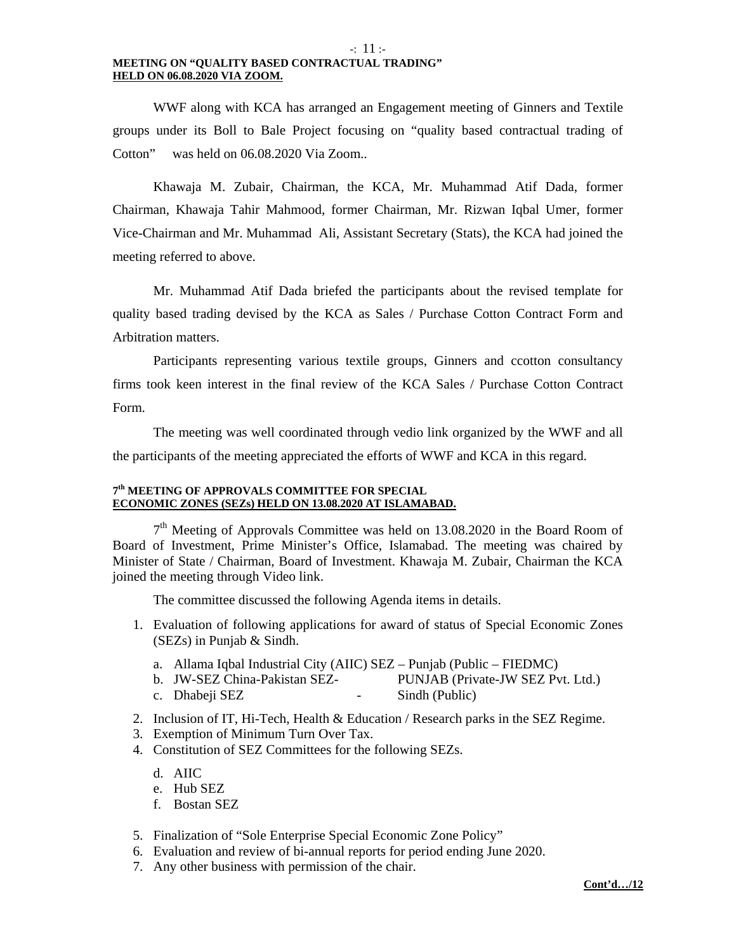#### -: 11 :- **MEETING ON "QUALITY BASED CONTRACTUAL TRADING" HELD ON 06.08.2020 VIA ZOOM.**

 WWF along with KCA has arranged an Engagement meeting of Ginners and Textile groups under its Boll to Bale Project focusing on "quality based contractual trading of Cotton" was held on 06.08.2020 Via Zoom..

 Khawaja M. Zubair, Chairman, the KCA, Mr. Muhammad Atif Dada, former Chairman, Khawaja Tahir Mahmood, former Chairman, Mr. Rizwan Iqbal Umer, former Vice-Chairman and Mr. Muhammad Ali, Assistant Secretary (Stats), the KCA had joined the meeting referred to above.

 Mr. Muhammad Atif Dada briefed the participants about the revised template for quality based trading devised by the KCA as Sales / Purchase Cotton Contract Form and Arbitration matters.

 Participants representing various textile groups, Ginners and ccotton consultancy firms took keen interest in the final review of the KCA Sales / Purchase Cotton Contract Form.

 The meeting was well coordinated through vedio link organized by the WWF and all the participants of the meeting appreciated the efforts of WWF and KCA in this regard.

#### **7th MEETING OF APPROVALS COMMITTEE FOR SPECIAL ECONOMIC ZONES (SEZs) HELD ON 13.08.2020 AT ISLAMABAD.**

 $7<sup>th</sup>$  Meeting of Approvals Committee was held on 13.08.2020 in the Board Room of Board of Investment, Prime Minister's Office, Islamabad. The meeting was chaired by Minister of State / Chairman, Board of Investment. Khawaja M. Zubair, Chairman the KCA joined the meeting through Video link.

The committee discussed the following Agenda items in details.

- 1. Evaluation of following applications for award of status of Special Economic Zones (SEZs) in Punjab & Sindh.
	- a. Allama Iqbal Industrial City (AIIC) SEZ Punjab (Public FIEDMC)
	- b. JW-SEZ China-Pakistan SEZ- PUNJAB (Private-JW SEZ Pvt. Ltd.)
	- c. Dhabeji SEZ Sindh (Public)
- 2. Inclusion of IT, Hi-Tech, Health & Education / Research parks in the SEZ Regime.
- 3. Exemption of Minimum Turn Over Tax.
- 4. Constitution of SEZ Committees for the following SEZs.
	- d. AIIC
	- e. Hub SEZ
	- f. Bostan SEZ
- 5. Finalization of "Sole Enterprise Special Economic Zone Policy"
- 6. Evaluation and review of bi-annual reports for period ending June 2020.
- 7. Any other business with permission of the chair.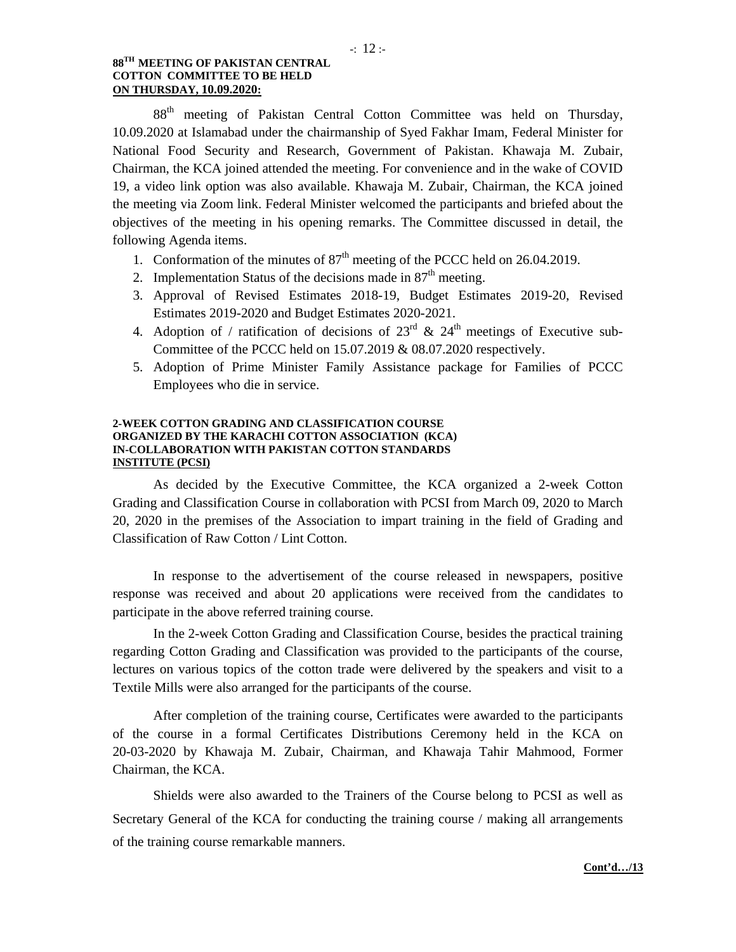## **88TH MEETING OF PAKISTAN CENTRAL COTTON COMMITTEE TO BE HELD ON THURSDAY, 10.09.2020:**

88<sup>th</sup> meeting of Pakistan Central Cotton Committee was held on Thursday, 10.09.2020 at Islamabad under the chairmanship of Syed Fakhar Imam, Federal Minister for National Food Security and Research, Government of Pakistan. Khawaja M. Zubair, Chairman, the KCA joined attended the meeting. For convenience and in the wake of COVID 19, a video link option was also available. Khawaja M. Zubair, Chairman, the KCA joined the meeting via Zoom link. Federal Minister welcomed the participants and briefed about the objectives of the meeting in his opening remarks. The Committee discussed in detail, the following Agenda items.

- 1. Conformation of the minutes of  $87<sup>th</sup>$  meeting of the PCCC held on 26.04.2019.
- 2. Implementation Status of the decisions made in  $87<sup>th</sup>$  meeting.
- 3. Approval of Revised Estimates 2018-19, Budget Estimates 2019-20, Revised Estimates 2019-2020 and Budget Estimates 2020-2021.
- 4. Adoption of / ratification of decisions of  $23^{\text{rd}}$  &  $24^{\text{th}}$  meetings of Executive sub-Committee of the PCCC held on 15.07.2019 & 08.07.2020 respectively.
- 5. Adoption of Prime Minister Family Assistance package for Families of PCCC Employees who die in service.

#### **2-WEEK COTTON GRADING AND CLASSIFICATION COURSE ORGANIZED BY THE KARACHI COTTON ASSOCIATION (KCA) IN-COLLABORATION WITH PAKISTAN COTTON STANDARDS INSTITUTE (PCSI)**

As decided by the Executive Committee, the KCA organized a 2-week Cotton Grading and Classification Course in collaboration with PCSI from March 09, 2020 to March 20, 2020 in the premises of the Association to impart training in the field of Grading and Classification of Raw Cotton / Lint Cotton.

 In response to the advertisement of the course released in newspapers, positive response was received and about 20 applications were received from the candidates to participate in the above referred training course.

In the 2-week Cotton Grading and Classification Course, besides the practical training regarding Cotton Grading and Classification was provided to the participants of the course, lectures on various topics of the cotton trade were delivered by the speakers and visit to a Textile Mills were also arranged for the participants of the course.

After completion of the training course, Certificates were awarded to the participants of the course in a formal Certificates Distributions Ceremony held in the KCA on 20-03-2020 by Khawaja M. Zubair, Chairman, and Khawaja Tahir Mahmood, Former Chairman, the KCA.

Shields were also awarded to the Trainers of the Course belong to PCSI as well as Secretary General of the KCA for conducting the training course / making all arrangements of the training course remarkable manners.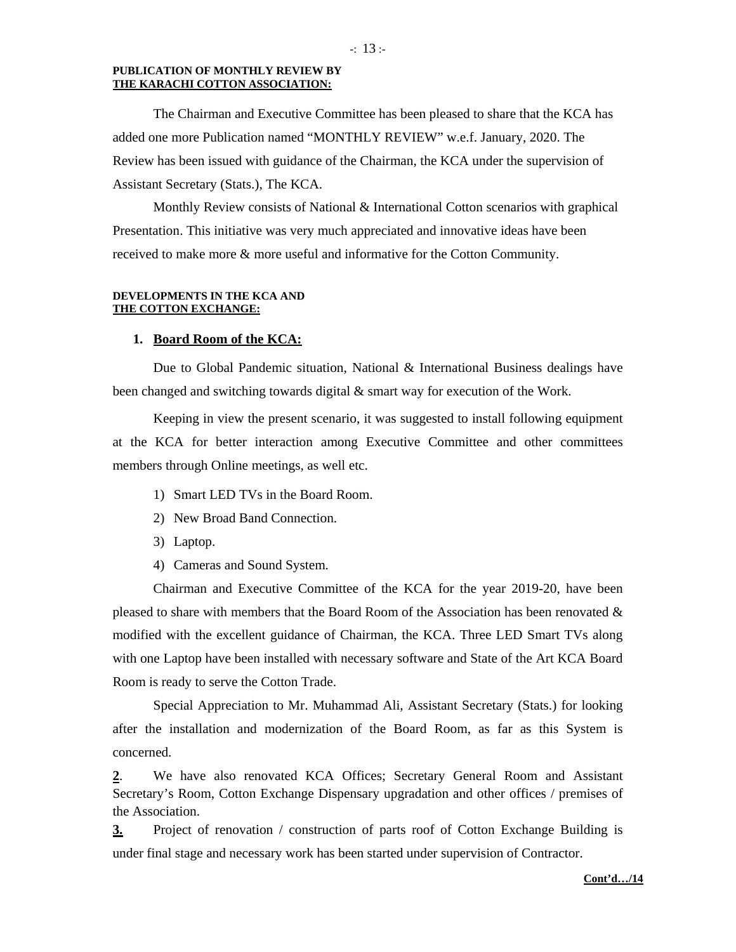#### **PUBLICATION OF MONTHLY REVIEW BY THE KARACHI COTTON ASSOCIATION:**

 The Chairman and Executive Committee has been pleased to share that the KCA has added one more Publication named "MONTHLY REVIEW" w.e.f. January, 2020. The Review has been issued with guidance of the Chairman, the KCA under the supervision of Assistant Secretary (Stats.), The KCA.

Monthly Review consists of National & International Cotton scenarios with graphical Presentation. This initiative was very much appreciated and innovative ideas have been received to make more & more useful and informative for the Cotton Community.

#### **DEVELOPMENTS IN THE KCA AND THE COTTON EXCHANGE:**

#### **1. Board Room of the KCA:**

Due to Global Pandemic situation, National & International Business dealings have been changed and switching towards digital & smart way for execution of the Work.

Keeping in view the present scenario, it was suggested to install following equipment at the KCA for better interaction among Executive Committee and other committees members through Online meetings, as well etc.

- 1) Smart LED TVs in the Board Room.
- 2) New Broad Band Connection.
- 3) Laptop.
- 4) Cameras and Sound System.

Chairman and Executive Committee of the KCA for the year 2019-20, have been pleased to share with members that the Board Room of the Association has been renovated  $\&$ modified with the excellent guidance of Chairman, the KCA. Three LED Smart TVs along with one Laptop have been installed with necessary software and State of the Art KCA Board Room is ready to serve the Cotton Trade.

Special Appreciation to Mr. Muhammad Ali, Assistant Secretary (Stats.) for looking after the installation and modernization of the Board Room, as far as this System is concerned.

**2**. We have also renovated KCA Offices; Secretary General Room and Assistant Secretary's Room, Cotton Exchange Dispensary upgradation and other offices / premises of the Association.

**3.** Project of renovation / construction of parts roof of Cotton Exchange Building is under final stage and necessary work has been started under supervision of Contractor.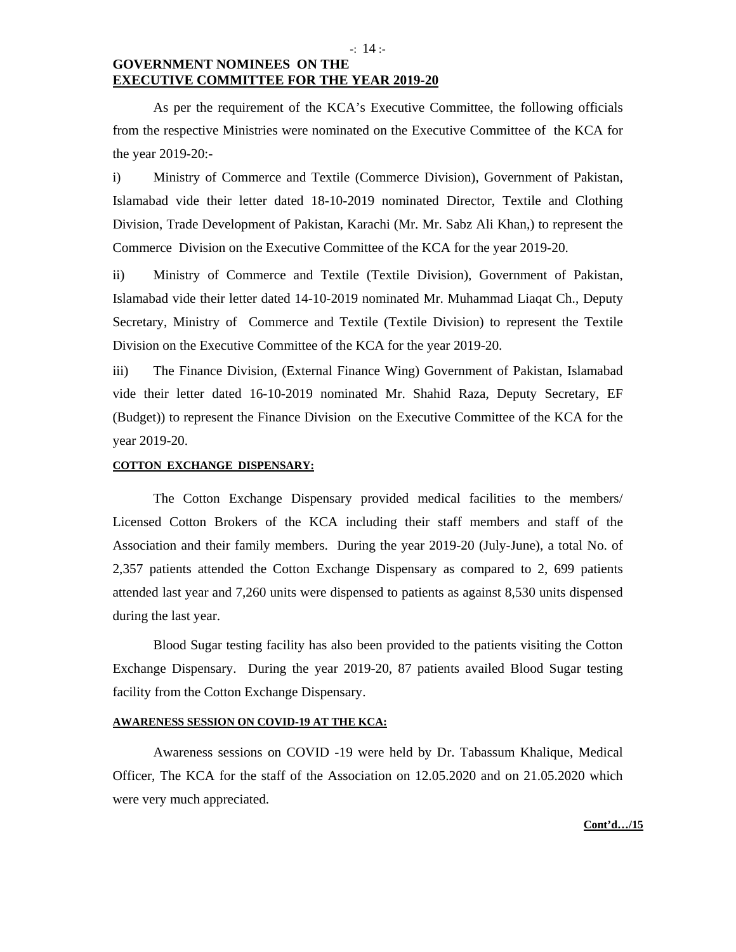# **GOVERNMENT NOMINEES ON THE EXECUTIVE COMMITTEE FOR THE YEAR 2019-20**

As per the requirement of the KCA's Executive Committee, the following officials from the respective Ministries were nominated on the Executive Committee of the KCA for the year 2019-20:-

i) Ministry of Commerce and Textile (Commerce Division), Government of Pakistan, Islamabad vide their letter dated 18-10-2019 nominated Director, Textile and Clothing Division, Trade Development of Pakistan, Karachi (Mr. Mr. Sabz Ali Khan,) to represent the Commerce Division on the Executive Committee of the KCA for the year 2019-20.

ii) Ministry of Commerce and Textile (Textile Division), Government of Pakistan, Islamabad vide their letter dated 14-10-2019 nominated Mr. Muhammad Liaqat Ch., Deputy Secretary, Ministry of Commerce and Textile (Textile Division) to represent the Textile Division on the Executive Committee of the KCA for the year 2019-20.

iii) The Finance Division, (External Finance Wing) Government of Pakistan, Islamabad vide their letter dated 16-10-2019 nominated Mr. Shahid Raza, Deputy Secretary, EF (Budget)) to represent the Finance Division on the Executive Committee of the KCA for the year 2019-20.

# **COTTON EXCHANGE DISPENSARY:**

The Cotton Exchange Dispensary provided medical facilities to the members/ Licensed Cotton Brokers of the KCA including their staff members and staff of the Association and their family members. During the year 2019-20 (July-June), a total No. of 2,357 patients attended the Cotton Exchange Dispensary as compared to 2, 699 patients attended last year and 7,260 units were dispensed to patients as against 8,530 units dispensed during the last year.

Blood Sugar testing facility has also been provided to the patients visiting the Cotton Exchange Dispensary. During the year 2019-20, 87 patients availed Blood Sugar testing facility from the Cotton Exchange Dispensary.

# **AWARENESS SESSION ON COVID-19 AT THE KCA:**

Awareness sessions on COVID -19 were held by Dr. Tabassum Khalique, Medical Officer, The KCA for the staff of the Association on 12.05.2020 and on 21.05.2020 which were very much appreciated.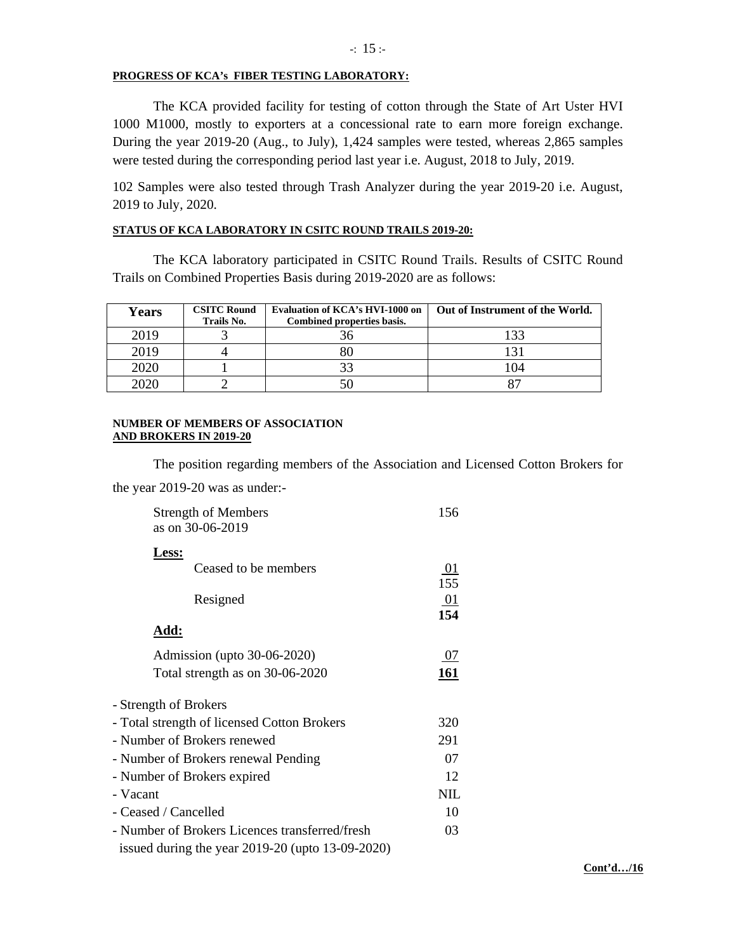#### **PROGRESS OF KCA's FIBER TESTING LABORATORY:**

 The KCA provided facility for testing of cotton through the State of Art Uster HVI 1000 M1000, mostly to exporters at a concessional rate to earn more foreign exchange. During the year 2019-20 (Aug., to July), 1,424 samples were tested, whereas 2,865 samples were tested during the corresponding period last year i.e. August, 2018 to July, 2019.

102 Samples were also tested through Trash Analyzer during the year 2019-20 i.e. August, 2019 to July, 2020.

#### **STATUS OF KCA LABORATORY IN CSITC ROUND TRAILS 2019-20:**

The KCA laboratory participated in CSITC Round Trails. Results of CSITC Round Trails on Combined Properties Basis during 2019-2020 are as follows:

| <b>Years</b> | <b>CSITC Round</b><br>Trails No. | Evaluation of KCA's HVI-1000 on<br>Combined properties basis. | Out of Instrument of the World. |
|--------------|----------------------------------|---------------------------------------------------------------|---------------------------------|
| 2019         |                                  | 36                                                            | 133                             |
| 2019         |                                  | 80                                                            |                                 |
| 2020         |                                  | 33                                                            | 04                              |
| 2020         |                                  |                                                               |                                 |

#### **NUMBER OF MEMBERS OF ASSOCIATION AND BROKERS IN 2019-20**

The position regarding members of the Association and Licensed Cotton Brokers for the year 2019-20 was as under:-

| <b>Strength of Members</b><br>as on 30-06-2019        | 156                    |
|-------------------------------------------------------|------------------------|
| Less:<br>Ceased to be members<br>Resigned             | 01<br>155<br>01<br>154 |
| <u> Add:</u>                                          |                        |
| Admission (upto 30-06-2020)                           | 07                     |
| Total strength as on 30-06-2020                       | 161                    |
| - Strength of Brokers                                 |                        |
| - Total strength of licensed Cotton Brokers           | 320                    |
| - Number of Brokers renewed                           | 291                    |
| - Number of Brokers renewal Pending                   | 07                     |
| - Number of Brokers expired                           | 12                     |
| - Vacant                                              | <b>NIL</b>             |
| - Ceased / Cancelled                                  | 10                     |
| - Number of Brokers Licences transferred/fresh        | 03                     |
| issued during the year $2019-20$ (upto $13-09-2020$ ) |                        |